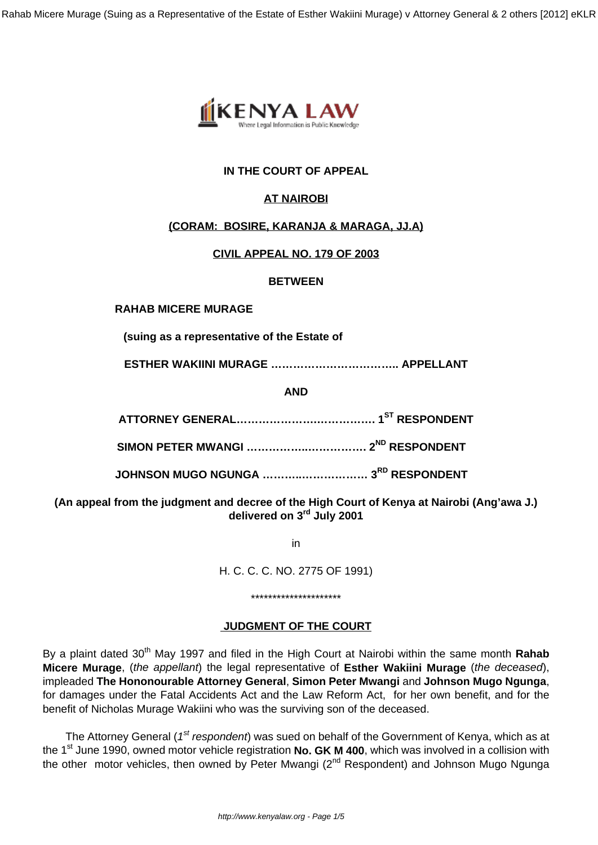

# **IN THE COURT OF APPEAL**

# **AT NAIROBI**

## **(CORAM: BOSIRE, KARANJA & MARAGA, JJ.A)**

## **CIVIL APPEAL NO. 179 OF 2003**

## **BETWEEN**

## **RAHAB MICERE MURAGE**

**(suing as a representative of the Estate of**

**ESTHER WAKIINI MURAGE …………………………….. APPELLANT**

**AND**

**ATTORNEY GENERAL………………….……………. 1ST RESPONDENT**

**SIMON PETER MWANGI ……………..……………. 2ND RESPONDENT**

**JOHNSON MUGO NGUNGA ………..……………… 3RD RESPONDENT**

# **(An appeal from the judgment and decree of the High Court of Kenya at Nairobi (Ang'awa J.) delivered on 3rd July 2001**

in

H. C. C. C. NO. 2775 OF 1991)

#### \*\*\*\*\*\*\*\*\*\*\*\*\*\*\*\*\*\*\*\*\*

## **JUDGMENT OF THE COURT**

By a plaint dated 30<sup>th</sup> May 1997 and filed in the High Court at Nairobi within the same month **Rahab Micere Murage**, (the appellant) the legal representative of **Esther Wakiini Murage** (the deceased), impleaded **The Hononourable Attorney General**, **Simon Peter Mwangi** and **Johnson Mugo Ngunga**, for damages under the Fatal Accidents Act and the Law Reform Act, for her own benefit, and for the benefit of Nicholas Murage Wakiini who was the surviving son of the deceased.

The Attorney General ( $1<sup>st</sup>$  respondent) was sued on behalf of the Government of Kenya, which as at the 1st June 1990, owned motor vehicle registration **No. GK M 400**, which was involved in a collision with the other motor vehicles, then owned by Peter Mwangi (2<sup>nd</sup> Respondent) and Johnson Mugo Ngunga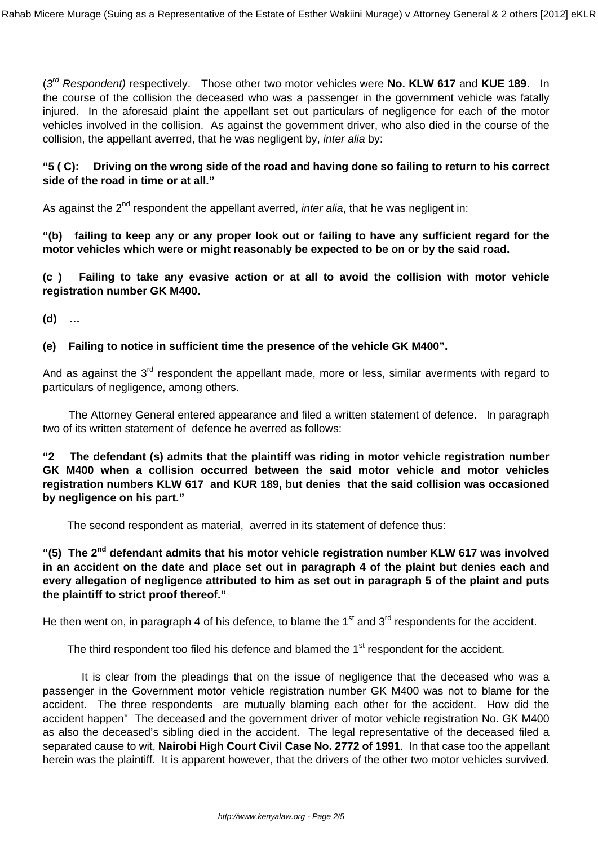(3<sup>rd</sup> Respondent) respectively. Those other two motor vehicles were No. KLW 617 and KUE 189. In the course of the collision the deceased who was a passenger in the government vehicle was fatally injured. In the aforesaid plaint the appellant set out particulars of negligence for each of the motor vehicles involved in the collision. As against the government driver, who also died in the course of the collision, the appellant averred, that he was negligent by, inter alia by:

## **"5 ( C): Driving on the wrong side of the road and having done so failing to return to his correct side of the road in time or at all."**

As against the  $2^{nd}$  respondent the appellant averred, *inter alia*, that he was negligent in:

**"(b) failing to keep any or any proper look out or failing to have any sufficient regard for the motor vehicles which were or might reasonably be expected to be on or by the said road.**

**(c ) Failing to take any evasive action or at all to avoid the collision with motor vehicle registration number GK M400.**

**(d) …**

# **(e) Failing to notice in sufficient time the presence of the vehicle GK M400".**

And as against the 3<sup>rd</sup> respondent the appellant made, more or less, similar averments with regard to particulars of negligence, among others.

 The Attorney General entered appearance and filed a written statement of defence. In paragraph two of its written statement of defence he averred as follows:

**"2 The defendant (s) admits that the plaintiff was riding in motor vehicle registration number GK M400 when a collision occurred between the said motor vehicle and motor vehicles registration numbers KLW 617 and KUR 189, but denies that the said collision was occasioned by negligence on his part."**

The second respondent as material, averred in its statement of defence thus:

**"(5) The 2nd defendant admits that his motor vehicle registration number KLW 617 was involved in an accident on the date and place set out in paragraph 4 of the plaint but denies each and every allegation of negligence attributed to him as set out in paragraph 5 of the plaint and puts the plaintiff to strict proof thereof."**

He then went on, in paragraph 4 of his defence, to blame the  $1<sup>st</sup>$  and  $3<sup>rd</sup>$  respondents for the accident.

The third respondent too filed his defence and blamed the 1<sup>st</sup> respondent for the accident.

 It is clear from the pleadings that on the issue of negligence that the deceased who was a passenger in the Government motor vehicle registration number GK M400 was not to blame for the accident. The three respondents are mutually blaming each other for the accident. How did the accident happen" The deceased and the government driver of motor vehicle registration No. GK M400 as also the deceased's sibling died in the accident. The legal representative of the deceased filed a separated cause to wit, **Nairobi High Court Civil Case No. 2772 of 1991**. In that case too the appellant herein was the plaintiff. It is apparent however, that the drivers of the other two motor vehicles survived.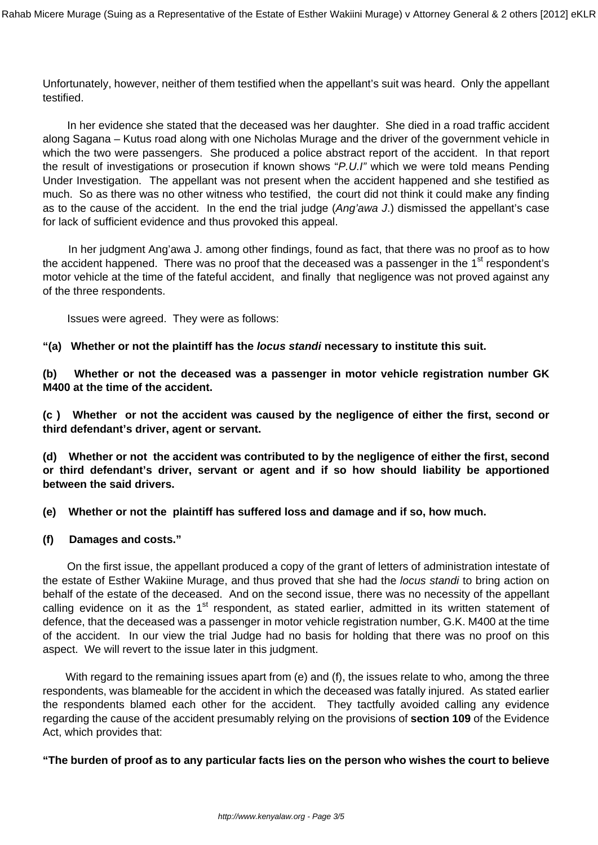Unfortunately, however, neither of them testified when the appellant's suit was heard. Only the appellant testified.

 In her evidence she stated that the deceased was her daughter. She died in a road traffic accident along Sagana – Kutus road along with one Nicholas Murage and the driver of the government vehicle in which the two were passengers. She produced a police abstract report of the accident. In that report the result of investigations or prosecution if known shows "P.U.I" which we were told means Pending Under Investigation. The appellant was not present when the accident happened and she testified as much. So as there was no other witness who testified, the court did not think it could make any finding as to the cause of the accident. In the end the trial judge (Ang'awa J.) dismissed the appellant's case for lack of sufficient evidence and thus provoked this appeal.

 In her judgment Ang'awa J. among other findings, found as fact, that there was no proof as to how the accident happened. There was no proof that the deceased was a passenger in the  $1<sup>st</sup>$  respondent's motor vehicle at the time of the fateful accident, and finally that negligence was not proved against any of the three respondents.

Issues were agreed. They were as follows:

**"(a) Whether or not the plaintiff has the locus standi necessary to institute this suit.**

**(b) Whether or not the deceased was a passenger in motor vehicle registration number GK M400 at the time of the accident.**

**(c ) Whether or not the accident was caused by the negligence of either the first, second or third defendant's driver, agent or servant.**

**(d) Whether or not the accident was contributed to by the negligence of either the first, second or third defendant's driver, servant or agent and if so how should liability be apportioned between the said drivers.**

**(e) Whether or not the plaintiff has suffered loss and damage and if so, how much.**

**(f) Damages and costs."**

 On the first issue, the appellant produced a copy of the grant of letters of administration intestate of the estate of Esther Wakiine Murage, and thus proved that she had the locus standi to bring action on behalf of the estate of the deceased. And on the second issue, there was no necessity of the appellant calling evidence on it as the 1<sup>st</sup> respondent, as stated earlier, admitted in its written statement of defence, that the deceased was a passenger in motor vehicle registration number, G.K. M400 at the time of the accident. In our view the trial Judge had no basis for holding that there was no proof on this aspect. We will revert to the issue later in this judgment.

With regard to the remaining issues apart from (e) and (f), the issues relate to who, among the three respondents, was blameable for the accident in which the deceased was fatally injured. As stated earlier the respondents blamed each other for the accident. They tactfully avoided calling any evidence regarding the cause of the accident presumably relying on the provisions of **section 109** of the Evidence Act, which provides that:

**"The burden of proof as to any particular facts lies on the person who wishes the court to believe**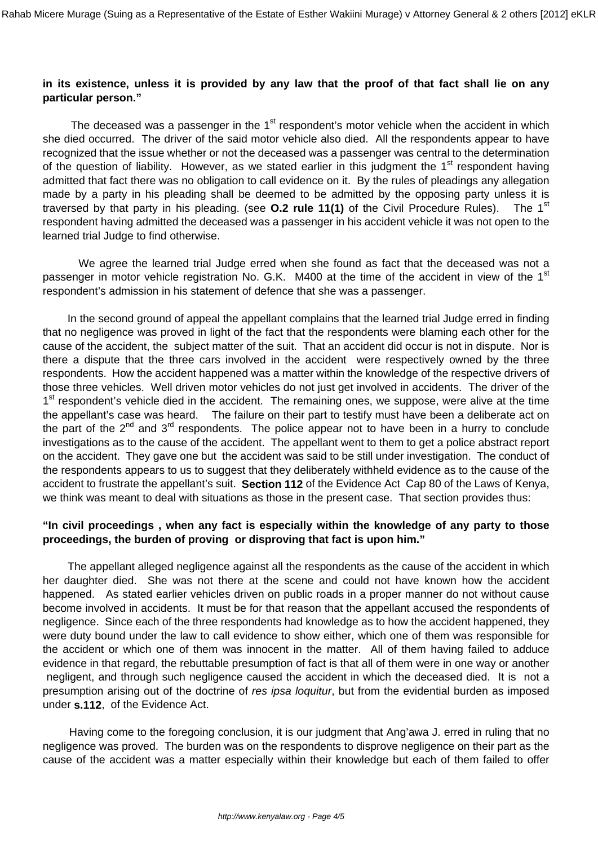## **in its existence, unless it is provided by any law that the proof of that fact shall lie on any particular person."**

The deceased was a passenger in the 1<sup>st</sup> respondent's motor vehicle when the accident in which she died occurred. The driver of the said motor vehicle also died. All the respondents appear to have recognized that the issue whether or not the deceased was a passenger was central to the determination of the question of liability. However, as we stated earlier in this judgment the  $1<sup>st</sup>$  respondent having admitted that fact there was no obligation to call evidence on it. By the rules of pleadings any allegation made by a party in his pleading shall be deemed to be admitted by the opposing party unless it is traversed by that party in his pleading. (see **O.2 rule 11(1)** of the Civil Procedure Rules). The 1st respondent having admitted the deceased was a passenger in his accident vehicle it was not open to the learned trial Judge to find otherwise.

 We agree the learned trial Judge erred when she found as fact that the deceased was not a passenger in motor vehicle registration No. G.K. M400 at the time of the accident in view of the 1<sup>st</sup> respondent's admission in his statement of defence that she was a passenger.

 In the second ground of appeal the appellant complains that the learned trial Judge erred in finding that no negligence was proved in light of the fact that the respondents were blaming each other for the cause of the accident, the subject matter of the suit. That an accident did occur is not in dispute. Nor is there a dispute that the three cars involved in the accident were respectively owned by the three respondents. How the accident happened was a matter within the knowledge of the respective drivers of those three vehicles. Well driven motor vehicles do not just get involved in accidents. The driver of the 1<sup>st</sup> respondent's vehicle died in the accident. The remaining ones, we suppose, were alive at the time the appellant's case was heard. The failure on their part to testify must have been a deliberate act on the part of the  $2^{nd}$  and  $3^{rd}$  respondents. The police appear not to have been in a hurry to conclude investigations as to the cause of the accident. The appellant went to them to get a police abstract report on the accident. They gave one but the accident was said to be still under investigation. The conduct of the respondents appears to us to suggest that they deliberately withheld evidence as to the cause of the accident to frustrate the appellant's suit. **Section 112** of the Evidence Act Cap 80 of the Laws of Kenya, we think was meant to deal with situations as those in the present case. That section provides thus:

# **"In civil proceedings , when any fact is especially within the knowledge of any party to those proceedings, the burden of proving or disproving that fact is upon him."**

 The appellant alleged negligence against all the respondents as the cause of the accident in which her daughter died. She was not there at the scene and could not have known how the accident happened. As stated earlier vehicles driven on public roads in a proper manner do not without cause become involved in accidents. It must be for that reason that the appellant accused the respondents of negligence. Since each of the three respondents had knowledge as to how the accident happened, they were duty bound under the law to call evidence to show either, which one of them was responsible for the accident or which one of them was innocent in the matter. All of them having failed to adduce evidence in that regard, the rebuttable presumption of fact is that all of them were in one way or another negligent, and through such negligence caused the accident in which the deceased died. It is not a presumption arising out of the doctrine of res ipsa loquitur, but from the evidential burden as imposed under **s.112**, of the Evidence Act.

 Having come to the foregoing conclusion, it is our judgment that Ang'awa J. erred in ruling that no negligence was proved. The burden was on the respondents to disprove negligence on their part as the cause of the accident was a matter especially within their knowledge but each of them failed to offer